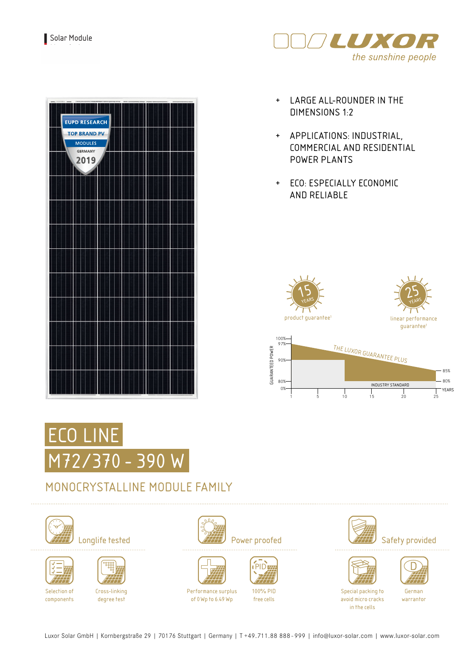

| <b>EUPD RESEARCH</b><br><b>TOP BRAND PV</b><br><b>MODULES</b><br><b>GERMANY</b><br>2019 |  |  |  |
|-----------------------------------------------------------------------------------------|--|--|--|
|                                                                                         |  |  |  |
|                                                                                         |  |  |  |
|                                                                                         |  |  |  |
|                                                                                         |  |  |  |
|                                                                                         |  |  |  |
|                                                                                         |  |  |  |

- + LARGE ALL-ROUNDER IN THE DIMENSIONS 1:2
- + APPLICATIONS: INDUSTRIAL, COMMERCIAL AND RESIDENTIAL POWER PLANTS
- + ECO: ESPECIALLY ECONOMIC AND RELIABLE



1 5 10 15 20 25



### MONOCRYSTALLINE MODULE FAMILY







Selection of components

Cross-linking degree test













Special packing to avoid micro cracks in the cells

German warrantor

Luxor Solar GmbH | Kornbergstraße 29 | 70176 Stuttgart | Germany | T +49.711.88 888 - 999 | info@luxor-solar.com | www.luxor-solar.com



Performance surplus of 0Wp to 6.49 Wp